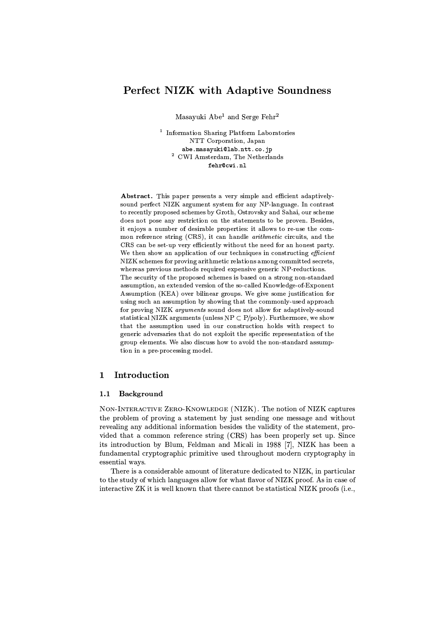# Perfect NIZK with Adaptive Soundness

Masayuki Abe<sup>1</sup> and Serge Fehr<sup>2</sup>

<sup>1</sup> Information Sharing Platform Laboratories NTT Corporation, Japan abe.masayuki@lab.ntt.co.jp  $^2\,$  CWI Amsterdam, The Netherlands fehr@cwi.nl

Abstract. This paper presents a very simple and efficient adaptivelysound perfect NIZK argument system for any NP-language. In contrast to recently proposed schemes by Groth, Ostrovsky and Sahai, our scheme does not pose any restriction on the statements to be proven. Besides, it enjoys a number of desirable properties: it allows to re-use the common reference string (CRS), it can handle *arithmetic* circuits, and the CRS can be set-up very efficiently without the need for an honest party. We then show an application of our techniques in constructing *efficient* NIZK schemes for proving arithmetic relations among committed secrets, whereas previous methods required expensive generic NP-reductions. The security of the proposed schemes is based on a strong non-standard assumption, an extended version of the so-called Knowledge-of-Exponent Assumption (KEA) over bilinear groups. We give some justification for using such an assumption by showing that the commonly-used approach for proving NIZK arguments sound does not allow for adaptively-sound statistical NIZK arguments (unless NP  $\subset$  P/poly). Furthermore, we show that the assumption used in our construction holds with respect to generic adversaries that do not exploit the specific representation of the group elements. We also discuss how to avoid the non-standard assumption in a pre-processing model.

## $\mathbf{1}$ Introduction

## 1.1 Background

NON-INTERACTIVE ZERO-KNOWLEDGE (NIZK). The notion of NIZK captures the problem of proving a statement by just sending one message and without revealing any additional information besides the validity of the statement, provided that a common reference string (CRS) has been properly set up. Since its introduction by Blum, Feldman and Micali in 1988 [7], NIZK has been a fundamental cryptographic primitive used throughout modern cryptography in essential ways.

There is a considerable amount of literature dedicated to NIZK, in particular to the study of which languages allow for what flavor of NIZK proof. As in case of interactive ZK it is well known that there cannot be statistical NIZK proofs (i.e.,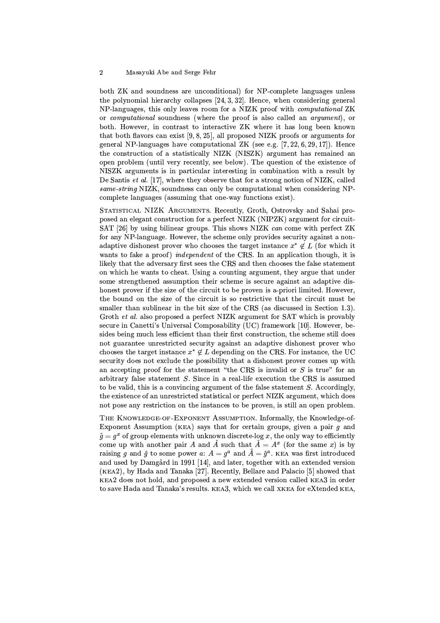#### $\overline{2}$ Masayuki Abe and Serge Fehr

both ZK and soundness are unconditional) for NP-complete languages unless the polynomial hierarchy collapses  $[24, 3, 32]$ . Hence, when considering general NP-languages, this only leaves room for a NIZK proof with computational ZK or *computational* soundness (where the proof is also called an *argument*), or both. However, in contrast to interactive ZK where it has long been known that both flavors can exist  $[9, 8, 25]$ , all proposed NIZK proofs or arguments for general NP-languages have computational ZK (see e.g.  $[7, 22, 6, 29, 17]$ ). Hence the construction of a statistically NIZK (NISZK) argument has remained an open problem (until very recently, see below). The question of the existence of NISZK arguments is in particular interesting in combination with a result by De Santis *et al.* [17], where they observe that for a strong notion of NIZK, called same-string NIZK, soundness can only be computational when considering NPcomplete languages (assuming that one-way functions exist).

STATISTICAL NIZK ARGUMENTS. Recently, Groth, Ostrovsky and Sahai proposed an elegant construction for a perfect NIZK (NIPZK) argument for circuit-SAT [26] by using bilinear groups. This shows NIZK can come with perfect ZK for any NP-language. However, the scheme only provides security against a nonadaptive dishonest prover who chooses the target instance  $x^* \notin L$  (for which it wants to fake a proof) *independent* of the CRS. In an application though, it is likely that the adversary first sees the CRS and then chooses the false statement on which he wants to cheat. Using a counting argument, they argue that under some strengthened assumption their scheme is secure against an adaptive dishonest prover if the size of the circuit to be proven is a-priori limited. However, the bound on the size of the circuit is so restrictive that the circuit must be smaller than sublinear in the bit size of the CRS (as discussed in Section 1.3). Groth *et al.* also proposed a perfect NIZK argument for SAT which is provably secure in Canetti's Universal Composability (UC) framework [10]. However, besides being much less efficient than their first construction, the scheme still does not guarantee unrestricted security against an adaptive dishonest prover who chooses the target instance  $x^* \notin L$  depending on the CRS. For instance, the UC security does not exclude the possibility that a dishonest prover comes up with an accepting proof for the statement "the CRS is invalid or  $S$  is true" for an arbitrary false statement  $S$ . Since in a real-life execution the CRS is assumed to be valid, this is a convincing argument of the false statement  $S$ . Accordingly, the existence of an unrestricted statistical or perfect NIZK argument, which does not pose any restriction on the instances to be proven, is still an open problem.

THE KNOWLEDGE-OF-EXPONENT ASSUMPTION. Informally, the Knowledge-of-Exponent Assumption (KEA) says that for certain groups, given a pair  $g$  and  $\hat{g} = g^x$  of group elements with unknown discrete-log x, the only way to efficiently come up with another pair A and  $\hat{A}$  such that  $\hat{A} = A^x$  (for the same x) is by raising g and  $\hat{g}$  to some power a:  $A = g^a$  and  $\hat{A} = \hat{g}^a$ . KEA was first introduced and used by Damgård in 1991 [14], and later, together with an extended version (KEA2), by Hada and Tanaka [27]. Recently, Bellare and Palacio [5] showed that KEA2 does not hold, and proposed a new extended version called KEA3 in order to save Hada and Tanaka's results. KEA3, which we call XKEA for eXtended KEA,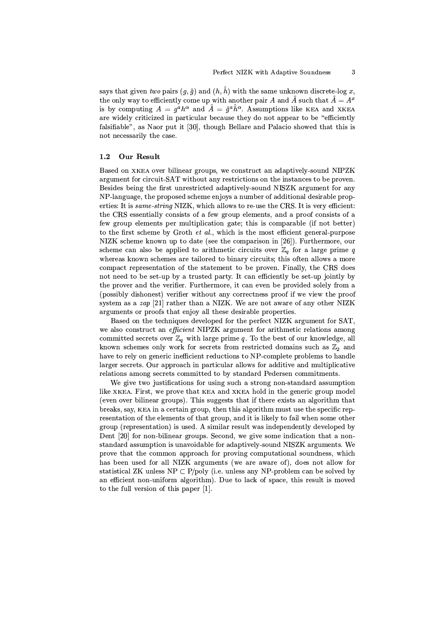says that given two pairs  $(g, \hat{g})$  and  $(h, \hat{h})$  with the same unknown discrete-log x, the only way to efficiently come up with another pair A and A such that  $A = A^x$ is by computing  $A = g^a h^\alpha$  and  $\hat{A} = \hat{g}^a \hat{h}^\alpha$ . Assumptions like KEA and XKEA are widely criticized in particular because they do not appear to be "efficiently falsifiable", as Naor put it [30], though Bellare and Palacio showed that this is not necessarily the case.

#### $1.2$ Our Result

Based on XKEA over bilinear groups, we construct an adaptively-sound NIPZK argument for circuit-SAT without any restrictions on the instances to be proven. Besides being the first unrestricted adaptively-sound NISZK argument for any NP-language, the proposed scheme enjoys a number of additional desirable properties: It is same-string NIZK, which allows to re-use the CRS. It is very efficient: the CRS essentially consists of a few group elements, and a proof consists of a few group elements per multiplication gate; this is comparable (if not better) to the first scheme by Groth *et al.*, which is the most efficient general-purpose NIZK scheme known up to date (see the comparison in [26]). Furthermore, our scheme can also be applied to arithmetic circuits over  $\mathbb{Z}_q$  for a large prime q whereas known schemes are tailored to binary circuits; this often allows a more compact representation of the statement to be proven. Finally, the CRS does not need to be set-up by a trusted party. It can efficiently be set-up jointly by the prover and the verifier. Furthermore, it can even be provided solely from a (possibly dishonest) verifier without any correctness proof if we view the proof system as a zap [21] rather than a NIZK. We are not aware of any other NIZK arguments or proofs that enjoy all these desirable properties.

Based on the techniques developed for the perfect NIZK argument for SAT, we also construct an *efficient* NIPZK argument for arithmetic relations among committed secrets over  $\mathbb{Z}_q$  with large prime q. To the best of our knowledge, all known schemes only work for secrets from restricted domains such as  $\mathbb{Z}_2$  and have to rely on generic inefficient reductions to NP-complete problems to handle larger secrets. Our approach in particular allows for additive and multiplicative relations among secrets committed to by standard Pedersen commitments.

We give two justifications for using such a strong non-standard assumption like XKEA. First, we prove that KEA and XKEA hold in the generic group model (even over bilinear groups). This suggests that if there exists an algorithm that breaks, say, KEA in a certain group, then this algorithm must use the specific representation of the elements of that group, and it is likely to fail when some other group (representation) is used. A similar result was independently developed by Dent [20] for non-bilinear groups. Second, we give some indication that a nonstandard assumption is unavoidable for adaptively-sound NISZK arguments. We prove that the common approach for proving computational soundness, which has been used for all NIZK arguments (we are aware of), does not allow for statistical ZK unless  $NP \subset P/poly$  (i.e. unless any NP-problem can be solved by an efficient non-uniform algorithm). Due to lack of space, this result is moved to the full version of this paper [1].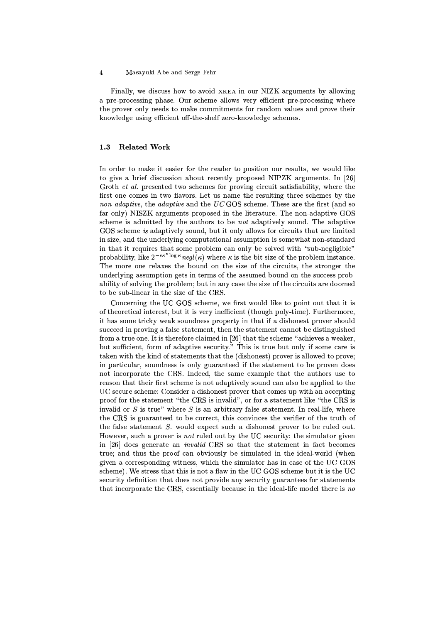#### Masayuki Abe and Serge Fehr  $\overline{4}$

Finally, we discuss how to avoid XKEA in our NIZK arguments by allowing a pre-processing phase. Our scheme allows very efficient pre-processing where the prover only needs to make commitments for random values and prove their knowledge using efficient off-the-shelf zero-knowledge schemes.

#### **Related Work** 1.3

In order to make it easier for the reader to position our results, we would like to give a brief discussion about recently proposed NIPZK arguments. In [26] Groth et al. presented two schemes for proving circuit satisfiability, where the first one comes in two flavors. Let us name the resulting three schemes by the non-adaptive, the adaptive and the UC GOS scheme. These are the first (and so far only) NISZK arguments proposed in the literature. The non-adaptive GOS scheme is admitted by the authors to be *not* adaptively sound. The adaptive GOS scheme is adaptively sound, but it only allows for circuits that are limited in size, and the underlying computational assumption is somewhat non-standard in that it requires that some problem can only be solved with "sub-negligible" probability, like  $2^{-\epsilon \kappa^{\epsilon} \log \kappa}$  negl( $\kappa$ ) where  $\kappa$  is the bit size of the problem instance. The more one relaxes the bound on the size of the circuits, the stronger the underlying assumption gets in terms of the assumed bound on the success probability of solving the problem; but in any case the size of the circuits are doomed to be sub-linear in the size of the CRS.

Concerning the UC GOS scheme, we first would like to point out that it is of theoretical interest, but it is very inefficient (though poly-time). Furthermore, it has some tricky weak soundness property in that if a dishonest prover should succeed in proving a false statement, then the statement cannot be distinguished from a true one. It is therefore claimed in [26] that the scheme "achieves a weaker, but sufficient, form of adaptive security." This is true but only if some care is taken with the kind of statements that the (dishonest) prover is allowed to prove; in particular, soundness is only guaranteed if the statement to be proven does not incorporate the CRS. Indeed, the same example that the authors use to reason that their first scheme is not adaptively sound can also be applied to the UC secure scheme: Consider a dishonest prover that comes up with an accepting proof for the statement "the CRS is invalid", or for a statement like "the CRS is invalid or S is true" where S is an arbitrary false statement. In real-life, where the CRS is guaranteed to be correct, this convinces the verifier of the truth of the false statement S. would expect such a dishonest prover to be ruled out. However, such a prover is not ruled out by the UC security: the simulator given in [26] does generate an *invalid* CRS so that the statement in fact becomes true; and thus the proof can obviously be simulated in the ideal-world (when given a corresponding witness, which the simulator has in case of the UC GOS scheme). We stress that this is not a flaw in the UC GOS scheme but it is the UC security definition that does not provide any security guarantees for statements that incorporate the CRS, essentially because in the ideal-life model there is no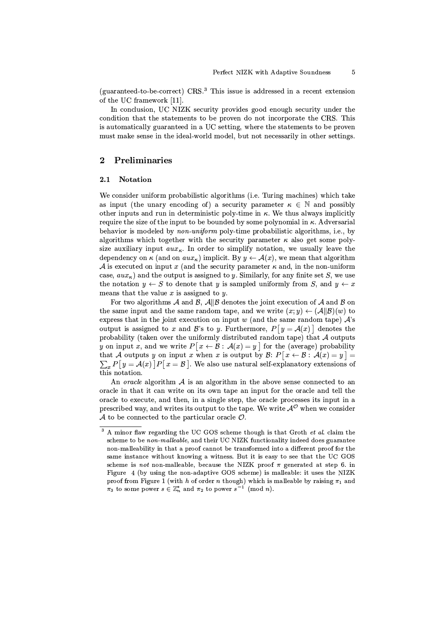(guaranteed-to-be-correct) CRS.<sup>3</sup> This issue is addressed in a recent extension of the UC framework [11].

In conclusion, UC NIZK security provides good enough security under the condition that the statements to be proven do not incorporate the CRS. This is automatically guaranteed in a UC setting, where the statements to be proven must make sense in the ideal-world model, but not necessarily in other settings.

## Preliminaries  $\overline{2}$

#### $2.1$ Notation

We consider uniform probabilistic algorithms (i.e. Turing machines) which take as input (the unary encoding of) a security parameter  $\kappa \in \mathbb{N}$  and possibly other inputs and run in deterministic poly-time in  $\kappa$ . We thus always implicitly require the size of the input to be bounded by some polynomial in  $\kappa$ . Adversarial behavior is modeled by non-uniform poly-time probabilistic algorithms, i.e., by algorithms which together with the security parameter  $\kappa$  also get some polysize auxiliary input  $aux_{\kappa}$ . In order to simplify notation, we usually leave the dependency on  $\kappa$  (and on  $aux_{\kappa}$ ) implicit. By  $y \leftarrow \mathcal{A}(x)$ , we mean that algorithm A is executed on input x (and the security parameter  $\kappa$  and, in the non-uniform case,  $aux_{\kappa}$ ) and the output is assigned to y. Similarly, for any finite set S, we use the notation  $y \leftarrow S$  to denote that y is sampled uniformly from S, and  $y \leftarrow x$ means that the value  $x$  is assigned to  $y$ .

For two algorithms A and B,  $A||B$  denotes the joint execution of A and B on the same input and the same random tape, and we write  $(x, y) \leftarrow (\mathcal{A}||\mathcal{B})(w)$  to express that in the joint execution on input w (and the same random tape)  $\mathcal{A}$ 's output is assigned to x and B's to y. Furthermore,  $P[y = A(x)]$  denotes the probability (taken over the uniformly distributed random tape) that A outputs y on input x, and we write  $P | x \leftarrow \mathcal{B} : \mathcal{A}(x) = y |$  for the (average) probability that A outputs y on input x when x is output by B:  $P[x \leftarrow B : A(x) = y] =$  $\sum_{x} P[y = A(x) | P[x = B].$  We also use natural self-explanatory extensions of this notation.

An *oracle* algorithm  $A$  is an algorithm in the above sense connected to an oracle in that it can write on its own tape an input for the oracle and tell the oracle to execute, and then, in a single step, the oracle processes its input in a prescribed way, and writes its output to the tape. We write  $A^{\mathcal{O}}$  when we consider A to be connected to the particular oracle  $\mathcal{O}$ .

A minor flaw regarding the UC GOS scheme though is that Groth et al. claim the scheme to be non-malleable, and their UC NIZK functionality indeed does guarantee non-malleability in that a proof cannot be transformed into a different proof for the same instance without knowing a witness. But it is easy to see that the UC GOS scheme is *not* non-malleable, because the NIZK proof  $\pi$  generated at step 6. in Figure 4 (by using the non-adaptive GOS scheme) is malleable: it uses the NIZK proof from Figure 1 (with h of order n though) which is malleable by raising  $\pi_1$  and  $\pi_3$  to some power  $s \in \mathbb{Z}_n^*$  and  $\pi_2$  to power  $s^{-1}$  (mod n).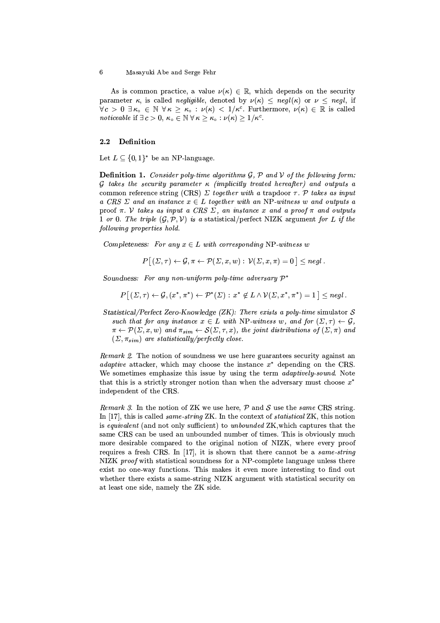#### Masayuki Abe and Serge Fehr  $6\phantom{.}6$

As is common practice, a value  $\nu(\kappa) \in \mathbb{R}$ , which depends on the security parameter  $\kappa$ , is called *negligible*, denoted by  $\nu(\kappa) \leq negl(\kappa)$  or  $\nu \leq negl$ , if  $\forall c > 0 \ \exists \kappa_{\circ} \in \mathbb{N} \ \forall \kappa \geq \kappa_{\circ} : \nu(\kappa) < 1/\kappa^{c}$ . Furthermore,  $\nu(\kappa) \in \mathbb{R}$  is called noticeable if  $\exists c > 0, \, \kappa_{\circ} \in \mathbb{N} \,\forall \kappa \geq \kappa_{\circ} : \nu(\kappa) \geq 1/\kappa^{c}$ .

### $2.2$ Definition

Let  $L \subset \{0,1\}^*$  be an NP-language.

**Definition 1.** Consider poly-time algorithms  $\mathcal{G}, \mathcal{P}$  and  $\mathcal{V}$  of the following form:  $G$  takes the security parameter  $\kappa$  (implicitly treated hereafter) and outputs a common reference string (CRS)  $\Sigma$  together with a trapdoor  $\tau$ . P takes as input a CRS  $\Sigma$  and an instance  $x \in L$  together with an NP-witness w and outputs a proof  $\pi$ . V takes as input a CRS  $\Sigma$ , an instance x and a proof  $\pi$  and outputs 1 or 0. The triple  $(\mathcal{G}, \mathcal{P}, \mathcal{V})$  is a statistical/perfect NIZK argument for L if the following properties hold.

Completeness: For any  $x \in L$  with corresponding NP-witness w

$$
P[(\Sigma,\tau)\leftarrow \mathcal{G}, \pi\leftarrow \mathcal{P}(\Sigma,x,w): \mathcal{V}(\Sigma,x,\pi)=0] \leq negl.
$$

Soundness: For any non-uniform poly-time adversary  $\mathcal{P}^*$ 

$$
P[(\varSigma,\tau) \leftarrow \mathcal{G}, (x^*,\pi^*) \leftarrow \mathcal{P}^*(\varSigma): x^* \not\in L \wedge \mathcal{V}(\varSigma,x^*,\pi^*) = 1 \, ] \leq negl \, .
$$

Statistical/Perfect Zero-Knowledge (ZK): There exists a poly-time simulator S such that for any instance  $x \in L$  with NP-witness w, and for  $(\Sigma, \tau) \leftarrow \mathcal{G}$ ,  $\pi \leftarrow \mathcal{P}(\Sigma, x, w)$  and  $\pi_{sim} \leftarrow \mathcal{S}(\Sigma, \tau, x)$ , the joint distributions of  $(\Sigma, \pi)$  and  $(\Sigma, \pi_{sim})$  are statistically/perfectly close.

Remark 2. The notion of soundness we use here guarantees security against an *adaptive* attacker, which may choose the instance  $x^*$  depending on the CRS. We sometimes emphasize this issue by using the term *adaptively-sound*. Note that this is a strictly stronger notion than when the adversary must choose  $x^*$ independent of the CRS.

Remark 3. In the notion of ZK we use here,  $P$  and  $S$  use the same CRS string. In [17], this is called *same-string* ZK. In the context of *statistical* ZK, this notion is equivalent (and not only sufficient) to unbounded ZK, which captures that the same CRS can be used an unbounded number of times. This is obviously much more desirable compared to the original notion of NIZK, where every proof requires a fresh CRS. In [17], it is shown that there cannot be a same-string NIZK proof with statistical soundness for a NP-complete language unless there exist no one-way functions. This makes it even more interesting to find out whether there exists a same-string NIZK argument with statistical security on at least one side, namely the ZK side.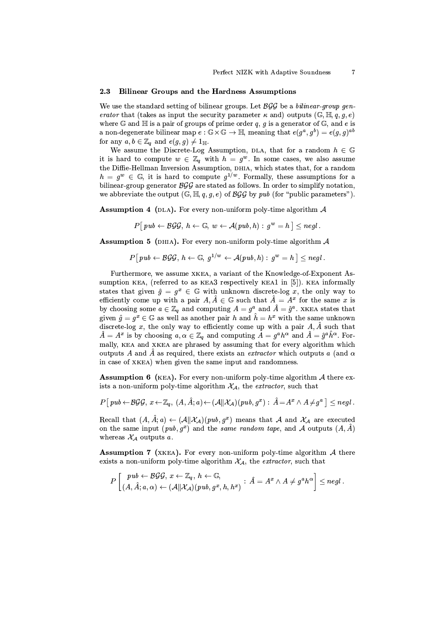#### **Bilinear Groups and the Hardness Assumptions**  $2.3$

We use the standard setting of bilinear groups. Let  $\mathcal{BGG}$  be a bilinear-group generator that (takes as input the security parameter  $\kappa$  and) outputs (G, H, q, g, e) where  $\mathbb G$  and  $\mathbb H$  is a pair of groups of prime order q, g is a generator of  $\mathbb G$ , and e is a non-degenerate bilinear map  $e : \mathbb{G} \times \mathbb{G} \to \mathbb{H}$ , meaning that  $e(g^a, g^b) = e(g, g)^{ab}$ for any  $a, b \in \mathbb{Z}_q$  and  $e(g, g) \neq 1_{\mathbb{H}}$ .

We assume the Discrete-Log Assumption, DLA, that for a random  $h \in \mathbb{G}$ it is hard to compute  $w \in \mathbb{Z}_q$  with  $h = g^w$ . In some cases, we also assume the Diffie-Hellman Inversion Assumption, DHIA, which states that, for a random  $h = g^w \in \mathbb{G}$ , it is hard to compute  $g^{1/w}$ . Formally, these assumptions for a bilinear-group generator  $\mathcal{B}\mathcal{G}\mathcal{G}$  are stated as follows. In order to simplify notation, we abbreviate the output  $(\mathbb{G}, \mathbb{H}, q, q, e)$  of BGG by pub (for "public parameters").

**Assumption 4** (DLA). For every non-uniform poly-time algorithm  $A$ 

$$
P[pub \leftarrow \mathcal{BGG}, h \leftarrow \mathbb{G}, w \leftarrow \mathcal{A}(pub, h): g^w = h] \leq negl.
$$

Assumption 5 (DHIA). For every non-uniform poly-time algorithm  $A$ 

$$
P\big[\, p u b \leftarrow \mathcal{B}\mathcal{G}\mathcal{G},\, h \leftarrow \mathbb{G},\, g^{1/w} \leftarrow \mathcal{A}(p u b,h):\, g^w=h\,\big]\leq negl\,.
$$

Furthermore, we assume XKEA, a variant of the Knowledge-of-Exponent Assumption KEA, (referred to as KEA3 respectively KEA1 in [5]). KEA informally states that given  $\hat{g} = g^x \in \mathbb{G}$  with unknown discrete-log x, the only way to efficiently come up with a pair  $A, \hat{A} \in \mathbb{G}$  such that  $\hat{A} = A^x$  for the same x is by choosing some  $a \in \mathbb{Z}_q$  and computing  $A = g^a$  and  $\hat{A} = \hat{g}^a$ . XKEA states that given  $\hat{g} = g^x \in \mathbb{G}$  as well as another pair h and  $\hat{h} = h^x$  with the same unknown discrete-log x, the only way to efficiently come up with a pair  $A, \hat{A}$  such that  $\hat{A} = A^x$  is by choosing  $a, \alpha \in \mathbb{Z}_q$  and computing  $A = g^a h^\alpha$  and  $\hat{A} = \hat{g}^a \hat{h}^\alpha$ . Formally, KEA and XKEA are phrased by assuming that for every algorithm which outputs A and  $\hat{A}$  as required, there exists an *extractor* which outputs a (and  $\alpha$ in case of XKEA) when given the same input and randomness.

**Assumption 6** (KEA). For every non-uniform poly-time algorithm  $A$  there exists a non-uniform poly-time algorithm  $X_A$ , the extractor, such that

$$
P[pub \leftarrow \mathcal{BGG}, x \leftarrow \mathbb{Z}_q, (A, \hat{A}; a) \leftarrow (\mathcal{A}||\mathcal{X}_{\mathcal{A}})(pub, g^x): \hat{A} = A^x \wedge A \neq g^a] \leq negl.
$$

Recall that  $(A, \hat{A}; a) \leftarrow (A||\mathcal{X}_A)(pub, g^x)$  means that A and  $\mathcal{X}_A$  are executed on the same input  $(pub, g^x)$  and the same random tape, and A outputs  $(A, \tilde{A})$ whereas  $\mathcal{X}_{\mathcal{A}}$  outputs a.

**Assumption 7** (XKEA). For every non-uniform poly-time algorithm  $A$  there exists a non-uniform poly-time algorithm  $X_A$ , the extractor, such that

$$
P\left[\frac{pub \leftarrow \mathcal{BGG}, \, x \leftarrow \mathbb{Z}_q, \, h \leftarrow \mathbb{G},}{(A, \hat{A}; a, \alpha) \leftarrow (\mathcal{A} \| \mathcal{X}_{\mathcal{A}})(pub, g^x, h, h^x)}: \, \hat{A} = A^x \wedge A \neq g^a h^\alpha\right] \leq negl\,.
$$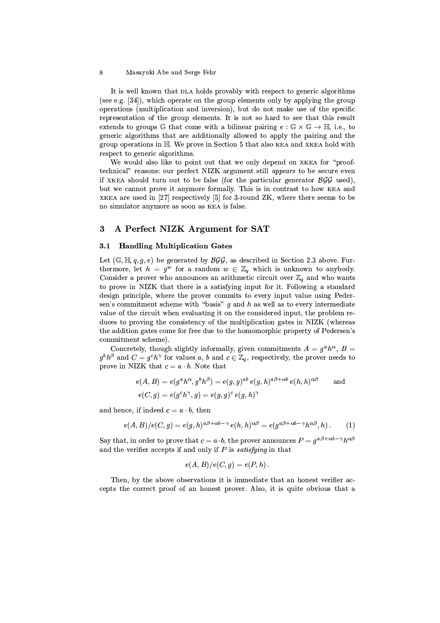It is well known that DLA holds provably with respect to generic algorithms (see e.g. [34]), which operate on the group elements only by applying the group operations (multiplication and inversion), but do not make use of the specific representation of the group elements. It is not so hard to see that this result extends to groups G that come with a bilinear pairing  $e: \mathbb{G} \times \mathbb{G} \to \mathbb{H}$ , i.e., to generic algorithms that are additionally allowed to apply the pairing and the group operations in H. We prove in Section 5 that also KEA and XKEA hold with respect to generic algorithms.

We would also like to point out that we only depend on XKEA for "prooftechnical" reasons: our perfect NIZK argument still appears to be secure even if XKEA should turn out to be false (for the particular generator  $\mathcal{B}\mathcal{G}\mathcal{G}$  used), but we cannot prove it anymore formally. This is in contrast to how KEA and XKEA are used in [27] respectively [5] for 3-round ZK, where there seems to be no simulator anymore as soon as KEA is false.

## A Perfect NIZK Argument for SAT 3

## **Handling Multiplication Gates**  $3.1$

Let  $(\mathbb{G}, \mathbb{H}, q, g, e)$  be generated by  $\mathcal{BGG}$ , as described in Section 2.3 above. Furthermore, let  $h = g^w$  for a random  $w \in \mathbb{Z}_q$  which is unknown to anybody. Consider a prover who announces an arithmetic circuit over  $\mathbb{Z}_q$  and who wants to prove in NIZK that there is a satisfying input for it. Following a standard design principle, where the prover commits to every input value using Pedersen's commitment scheme with "basis"  $g$  and  $h$  as well as to every intermediate value of the circuit when evaluating it on the considered input, the problem reduces to proving the consistency of the multiplication gates in NIZK (whereas the addition gates come for free due to the homomorphic property of Pedersen's commitment scheme).

Concretely, though slightly informally, given commitments  $A = g^a h^\alpha$ ,  $B =$  $g^b h^{\beta}$  and  $C = g^c h^{\gamma}$  for values a, b and  $c \in \mathbb{Z}_q$ , respectively, the prover needs to prove in NIZK that  $c = a \cdot b$ . Note that

$$
e(A, B) = e(g^a h^\alpha, g^b h^\beta) = e(g, g)^{ab} e(g, h)^{a\beta + \alpha b} e(h, h)^{\alpha \beta}
$$
 and  

$$
e(C, g) = e(g^c h^\gamma, g) = e(g, g)^c e(g, h)^\gamma
$$

and hence, if indeed  $c = a \cdot b$ , then

$$
e(A, B)/e(C, g) = e(g, h)^{a\beta + \alpha b - \gamma} e(h, h)^{\alpha \beta} = e(g^{a\beta + \alpha b - \gamma} h^{\alpha \beta}, h).
$$
 (1)

Say that, in order to prove that  $c = a \cdot b$ , the prover announces  $P = g^{a\beta + \alpha b - \gamma} h^{\alpha \beta}$ and the verifier accepts if and only if  $P$  is satisfying in that

$$
e(A, B)/e(C, g) = e(P, h) .
$$

Then, by the above observations it is immediate that an honest verifier accepts the correct proof of an honest prover. Also, it is quite obvious that a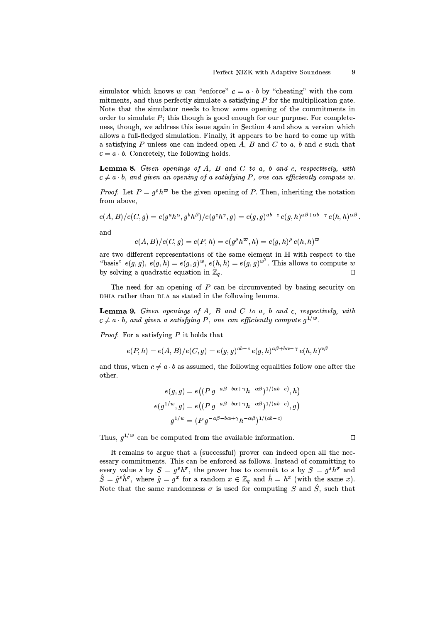simulator which knows w can "enforce"  $c = a \cdot b$  by "cheating" with the commitments, and thus perfectly simulate a satisfying  $P$  for the multiplication gate. Note that the simulator needs to know *some* opening of the commitments in order to simulate  $P$ ; this though is good enough for our purpose. For completeness, though, we address this issue again in Section 4 and show a version which allows a full-fledged simulation. Finally, it appears to be hard to come up with a satisfying  $P$  unless one can indeed open  $A$ ,  $B$  and  $C$  to  $a$ ,  $b$  and  $c$  such that  $c = a \cdot b$ . Concretely, the following holds.

**Lemma 8.** Given openings of  $A$ ,  $B$  and  $C$  to  $a$ ,  $b$  and  $c$ , respectively, with  $c \neq a \cdot b$ , and given an opening of a satisfying P, one can efficiently compute w.

*Proof.* Let  $P = q^{\rho}h^{\varpi}$  be the given opening of P. Then, inheriting the notation from above.

$$
e(A, B)/e(C, g) = e(g^a h^{\alpha}, g^b h^{\beta})/e(g^c h^{\gamma}, g) = e(g, g)^{ab-c} e(g, h)^{a\beta + \alpha b - \gamma} e(h, h)^{\alpha \beta}
$$

and

$$
e(A,B)/e(C,g)=e(P,h)=e(g^{\rho}h^{\varpi},h)=e(g,h)^{\rho}\,e(h,h)^{\varpi}
$$

are two different representations of the same element in H with respect to the "basis"  $e(g, g)$ ,  $e(g, h) = e(g, g)^w$ ,  $e(h, h) = e(g, g)^{w^2}$ . This allows to compute w by solving a quadratic equation in  $\mathbb{Z}_a$ .  $\Box$ 

The need for an opening of  $P$  can be circumvented by basing security on DHIA rather than DLA as stated in the following lemma.

**Lemma 9.** Given openings of  $A$ ,  $B$  and  $C$  to  $a$ ,  $b$  and  $c$ , respectively, with  $c \neq a \cdot b$ , and given a satisfying P, one can efficiently compute  $g^{1/w}$ .

*Proof.* For a satisfying  $P$  it holds that

$$
e(P,h) = e(A,B)/e(C,g) = e(g,g)^{ab-c}e(g,h)^{a\beta+b\alpha-\gamma}e(h,h)^{\alpha\beta}
$$

and thus, when  $c \neq a \cdot b$  as assumed, the following equalities follow one after the other.

$$
e(g,g) = e((P g^{-a\beta - b\alpha + \gamma} h^{-\alpha\beta})^{1/(ab-c)}, h)
$$

$$
e(g^{1/w}, g) = e((P g^{-a\beta - b\alpha + \gamma} h^{-\alpha\beta})^{1/(ab-c)}, g)
$$

$$
g^{1/w} = (P g^{-a\beta - b\alpha + \gamma} h^{-\alpha\beta})^{1/(ab-c)}
$$

Thus,  $q^{1/w}$  can be computed from the available information.

 $\Box$ 

It remains to argue that a (successful) prover can indeed open all the necessary commitments. This can be enforced as follows. Instead of committing to every value s by  $S = g^s h^{\sigma}$ , the prover has to commit to s by  $S = g^s h^{\sigma}$  and  $\hat{S} = \hat{g}^s \hat{h}^\sigma$ , where  $\hat{g} = g^x$  for a random  $x \in \mathbb{Z}_q$  and  $\hat{h} = h^x$  (with the same x). Note that the same randomness  $\sigma$  is used for computing S and  $\hat{S}$ , such that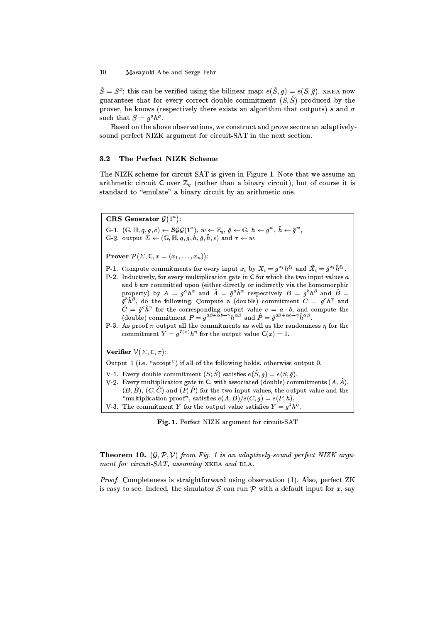$\hat{S} = S^x$ ; this can be verified using the bilinear map:  $e(\hat{S}, g) = e(S, \hat{g})$ . XKEA now guarantees that for every correct double commitment  $(S, \hat{S})$  produced by the prover, he knows (respectively there exists an algorithm that outputs) s and  $\sigma$ such that  $S = q^s h^{\sigma}$ .

Based on the above observations, we construct and prove secure an adaptivelysound perfect NIZK argument for circuit-SAT in the next section.

### The Perfect NIZK Scheme  $3.2$

The NIZK scheme for circuit-SAT is given in Figure 1. Note that we assume an arithmetic circuit C over  $\mathbb{Z}_q$  (rather than a binary circuit), but of course it is standard to "emulate" a binary circuit by an arithmetic one.

CRS Generator  $\mathcal{G}(1^{\kappa})$ : G-1.  $(\mathbb{G}, \mathbb{H}, q, g, e) \leftarrow \mathcal{BGG}(1^{\kappa}), w \leftarrow \mathbb{Z}_q, \hat{g} \leftarrow \mathbb{G}, h \leftarrow g^w, \hat{h} \leftarrow \hat{g}^w,$ G-2. output  $\Sigma \leftarrow (\mathbb{G}, \mathbb{H}, q, g, h, \hat{g}, \hat{h}, e)$  and  $\tau \leftarrow w$ . **Prover**  $\mathcal{P}(\Sigma, \mathsf{C}, x = (x_1, \ldots, x_n))$ : P-1. Compute commitments for every input  $x_i$  by  $X_i = g^{x_i}h^{\xi_i}$  and  $\hat{X}_i = \hat{g}^{x_i}\hat{h}^{\xi_i}$ . P-2. Inductively, for every multiplication gate in  $C$  for which the two input values  $a$ and  $b$  are committed upon (either directly or indirectly via the homomorphic property) by  $A = g^a h^{\alpha}$  and  $\hat{A} = \hat{g}^a \hat{h}^{\alpha}$  respectively  $B = g^b h^{\beta}$  and  $\hat{B} = g^b h^{\beta}$  $\hat{g}^b \hat{h}^\beta$ , do the following. Compute a (double) commitment  $C = g^c h^\gamma$  and  $\hat{C} = \hat{g}^c \hat{h}^{\gamma}$  for the corresponding output value  $c = a \cdot b$ , and compute the (double) commitment  $P = g^{a\beta + \alpha b - \gamma} h^{\alpha\beta}$  and  $\hat{P} = \hat{g}^{a\beta + \alpha b - \gamma} \hat{h}^{\alpha\beta}$ . P-3. As proof  $\pi$  output all the commitments as well as the randomness  $\eta$  for the commitment  $Y = g^{c(x)}h^{\eta}$  for the output value  $C(x) = 1$ . Verifier  $V(\Sigma, \mathsf{C}, \pi)$ : Output 1 (i.e. "accept") if all of the following holds, otherwise output 0. V-1. Every double commitment  $(S; \hat{S})$  satisfies  $e(\hat{S}, g) = e(S, \hat{g})$ . V-2. Every multiplication gate in C, with associated (double) commitments  $(A, \hat{A})$ ,  $(B, \hat{B}), (C, \hat{C})$  and  $(P, \hat{P})$  for the two input values, the output value and the "multiplication proof", satisfies  $e(A, B)/e(C, g) = e(P, h)$ . V-3. The commitment Y for the output value satisfies  $Y = g^1 h^{\eta}$ 

Fig. 1. Perfect NIZK argument for circuit-SAT

**Theorem 10.**  $(\mathcal{G}, \mathcal{P}, \mathcal{V})$  from Fig. 1 is an adaptively-sound perfect NIZK argument for circuit-SAT, assuming XKEA and DLA.

Proof. Completeness is straightforward using observation (1). Also, perfect ZK is easy to see. Indeed, the simulator S can run  $P$  with a default input for x, say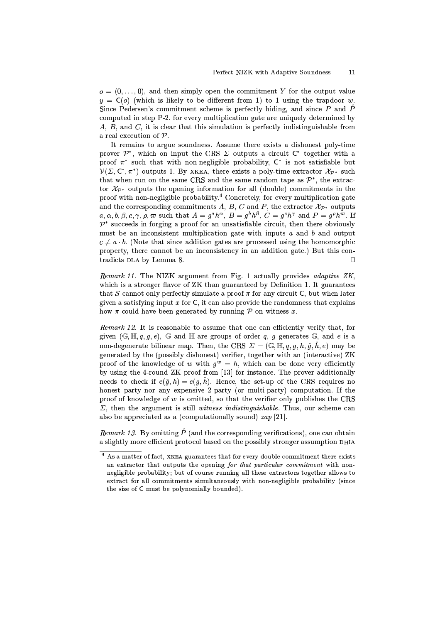$11$ 

 $o = (0, \ldots, 0)$ , and then simply open the commitment Y for the output value  $y = C(o)$  (which is likely to be different from 1) to 1 using the trapdoor w. Since Pedersen's commitment scheme is perfectly hiding, and since  $P$  and  $\hat{P}$ computed in step P-2. for every multiplication gate are uniquely determined by A, B, and C, it is clear that this simulation is perfectly indistinguishable from a real execution of  $P$ .

It remains to argue soundness. Assume there exists a dishonest poly-time prover  $\mathcal{P}^*$ , which on input the CRS  $\Sigma$  outputs a circuit  $\mathsf{C}^*$  together with a proof  $\pi^*$  such that with non-negligible probability,  $C^*$  is not satisfiable but  $\mathcal{V}(\Sigma, \mathsf{C}^*, \pi^*)$  outputs 1. By XKEA, there exists a poly-time extractor  $\mathcal{X}_{\mathcal{P}^*}$  such that when run on the same CRS and the same random tape as  $\mathcal{P}^*$ , the extractor  $\mathcal{X}_{\mathcal{P}^*}$  outputs the opening information for all (double) commitments in the proof with non-negligible probability.<sup>4</sup> Concretely, for every multiplication gate and the corresponding commitments A, B, C and P, the extractor  $\mathcal{X}_{\mathcal{P}^*}$  outputs  $a, \alpha, b, \beta, c, \gamma, \rho, \varpi$  such that  $A = g^a h^{\alpha}, B = g^b h^{\beta}, C = g^c h^{\gamma}$  and  $P = g^{\rho} h^{\varpi}$ . If  $\mathcal{P}^*$  succeeds in forging a proof for an unsatisfiable circuit, then there obviously must be an inconsistent multiplication gate with inputs  $a$  and  $b$  and output  $c \neq a \cdot b$ . (Note that since addition gates are processed using the homomorphic property, there cannot be an inconsistency in an addition gate.) But this contradicts DLA by Lemma 8.  $\Box$ 

Remark 11. The NIZK argument from Fig. 1 actually provides adaptive ZK, which is a stronger flavor of ZK than guaranteed by Definition 1. It guarantees that S cannot only perfectly simulate a proof  $\pi$  for any circuit C, but when later given a satisfying input  $x$  for  $C$ , it can also provide the randomness that explains how  $\pi$  could have been generated by running  $P$  on witness x.

Remark 12. It is reasonable to assume that one can efficiently verify that, for given  $(\mathbb{G}, \mathbb{H}, q, g, e)$ ,  $\mathbb{G}$  and  $\mathbb{H}$  are groups of order q, g generates  $\mathbb{G}$ , and e is a non-degenerate bilinear map. Then, the CRS  $\Sigma = (\mathbb{G}, \mathbb{H}, q, q, h, \hat{q}, \hat{h}, e)$  may be generated by the (possibly dishonest) verifier, together with an (interactive) ZK proof of the knowledge of w with  $q^w = h$ , which can be done very efficiently by using the 4-round ZK proof from [13] for instance. The prover additionally needs to check if  $e(\hat{g}, h) = e(g, \hat{h})$ . Hence, the set-up of the CRS requires no honest party nor any expensive 2-party (or multi-party) computation. If the proof of knowledge of  $w$  is omitted, so that the verifier only publishes the CRS  $\Sigma$ , then the argument is still witness indistinguishable. Thus, our scheme can also be appreciated as a (computationally sound)  $\alpha$ <sup>[21]</sup>.

*Remark 13.* By omitting  $\hat{P}$  (and the corresponding verifications), one can obtain a slightly more efficient protocol based on the possibly stronger assumption DHIA

 $^4\,$  As a matter of fact, xKEA guarantees that for every double commitment there exists an extractor that outputs the opening for that particular commitment with nonnegligible probability; but of course running all these extractors together allows to extract for all commitments simultaneously with non-negligible probability (since the size of C must be polynomially bounded).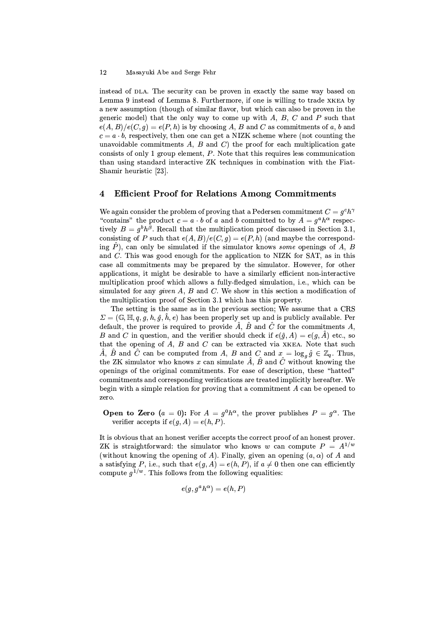instead of DLA. The security can be proven in exactly the same way based on Lemma 9 instead of Lemma 8. Furthermore, if one is willing to trade XKEA by a new assumption (though of similar flavor, but which can also be proven in the generic model) that the only way to come up with  $A, B, C$  and  $P$  such that  $e(A, B)/e(C, q) = e(P, h)$  is by choosing A, B and C as commitments of a, b and  $c = a \cdot b$ , respectively, then one can get a NIZK scheme where (not counting the unavoidable commitments  $A$ ,  $B$  and  $C$ ) the proof for each multiplication gate consists of only 1 group element,  $P$ . Note that this requires less communication than using standard interactive ZK techniques in combination with the Fiat-Shamir heuristic [23].

## $\overline{\mathbf{4}}$ **Efficient Proof for Relations Among Commitments**

We again consider the problem of proving that a Pedersen commitment  $C = g^c h^{\gamma}$ "contains" the product  $c = a \cdot b$  of a and b committed to by  $A = g^a h^{\alpha}$  respectively  $B = g^b h^{\beta}$ . Recall that the multiplication proof discussed in Section 3.1, consisting of P such that  $e(A, B)/e(C, g) = e(P, h)$  (and maybe the corresponding  $\hat{P}$ ), can only be simulated if the simulator knows some openings of A, B and  $C$ . This was good enough for the application to NIZK for SAT, as in this case all commitments may be prepared by the simulator. However, for other applications, it might be desirable to have a similarly efficient non-interactive multiplication proof which allows a fully-fledged simulation, i.e., which can be simulated for any *given*  $A$ ,  $B$  and  $C$ . We show in this section a modification of the multiplication proof of Section 3.1 which has this property.

The setting is the same as in the previous section; We assume that a CRS  $\Sigma = (\mathbb{G}, \mathbb{H}, q, q, h, \hat{q}, \hat{h}, e)$  has been properly set up and is publicly available. Per default, the prover is required to provide  $\hat{A}$ ,  $\hat{B}$  and  $\hat{C}$  for the commitments A, B and C in question, and the verifier should check if  $e(\hat{g}, A) = e(g, \hat{A})$  etc., so that the opening of  $A$ ,  $B$  and  $C$  can be extracted via XKEA. Note that such  $\hat{A}$ ,  $\hat{B}$  and  $\hat{C}$  can be computed from A, B and C and  $x = \log_a \hat{g} \in \mathbb{Z}_q$ . Thus, the ZK simulator who knows x can simulate  $\hat{A}$ ,  $\hat{B}$  and  $\hat{C}$  without knowing the openings of the original commitments. For ease of description, these "hatted" commitments and corresponding verifications are treated implicitly hereafter. We begin with a simple relation for proving that a commitment  $A$  can be opened to zero.

**Open to Zero**  $(a = 0)$ : For  $A = g^0 h^\alpha$ , the prover publishes  $P = g^\alpha$ . The verifier accepts if  $e(g, A) = e(h, P)$ .

It is obvious that an honest verifier accepts the correct proof of an honest prover. ZK is straightforward: the simulator who knows w can compute  $P = A^{1/w}$ (without knowing the opening of A). Finally, given an opening  $(a, \alpha)$  of A and a satisfying P, i.e., such that  $e(g, A) = e(h, P)$ , if  $a \neq 0$  then one can efficiently compute  $g^{1/w}$ . This follows from the following equalities:

$$
e(g,g^ah^\alpha)=e(h,P)
$$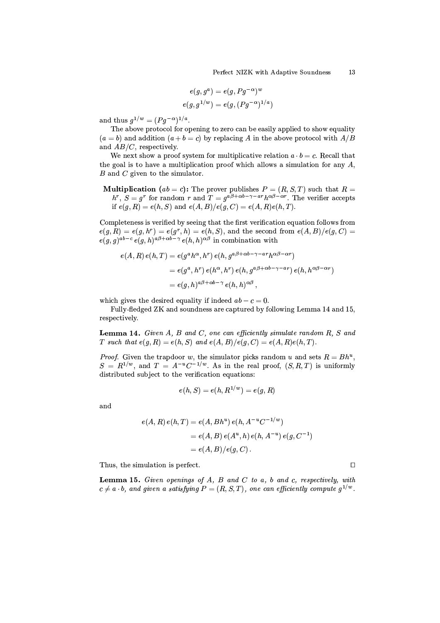$$
e(g,g^a)=e(g,Pg^{-\alpha})^w \newline e(g,g^{1/w})=e(g,(Pg^{-\alpha})^{1/a})
$$

and thus  $a^{1/w} = (Pa^{-\alpha})^{1/a}$ .

The above protocol for opening to zero can be easily applied to show equality  $(a = b)$  and addition  $(a + b = c)$  by replacing A in the above protocol with  $A/B$ and  $AB/C$ , respectively.

We next show a proof system for multiplicative relation  $a \cdot b = c$ . Recall that the goal is to have a multiplication proof which allows a simulation for any  $A$ ,  $B$  and  $C$  given to the simulator.

**Multiplication** (ab = c): The prover publishes  $P = (R, S, T)$  such that  $R =$  $h^r$ ,  $S = g^r$  for random r and  $T = g^{a\beta + \alpha b - \gamma - ar} h^{\alpha\beta - \alpha r}$ . The verifier accepts if  $e(g, R) = e(h, S)$  and  $e(A, B)/e(g, C) = e(A, R)e(h, T)$ .

Completeness is verified by seeing that the first verification equation follows from  $e(g, R) = e(g, h^r) = e(g^r, h) = e(h, S)$ , and the second from  $e(A, B)/e(g, C)$  $e(q, q)^{ab-c} e(q, h)^{a\beta + \alpha b - \gamma} e(h, h)^{\alpha \beta}$  in combination with

$$
e(A, R) e(h, T) = e(g^{a}h^{\alpha}, h^{r}) e(h, g^{a\beta + \alpha b - \gamma - ar}h^{\alpha\beta - \alpha r})
$$
  
=  $e(g^{a}, h^{r}) e(h^{\alpha}, h^{r}) e(h, g^{a\beta + \alpha b - \gamma - ar}) e(h, h^{\alpha\beta - \alpha r})$   
=  $e(g, h)^{a\beta + \alpha b - \gamma} e(h, h)^{\alpha\beta}$ ,

which gives the desired equality if indeed  $ab - c = 0$ .

Fully-fledged ZK and soundness are captured by following Lemma 14 and 15, respectively.

**Lemma 14.** Given  $A$ ,  $B$  and  $C$ , one can efficiently simulate random  $R$ ,  $S$  and T such that  $e(g, R) = e(h, S)$  and  $e(A, B)/e(g, C) = e(A, R)e(h, T)$ .

*Proof.* Given the trapdoor w, the simulator picks random u and sets  $R = Bh^u$ ,  $S = R^{1/w}$ , and  $T = A^{-u}C^{-1/w}$ . As in the real proof,  $(S, R, T)$  is uniformly distributed subject to the verification equations:

$$
e(h, S) = e(h, R^{1/w}) = e(g, R)
$$

and

$$
e(A, R) e(h, T) = e(A, Bh^{u}) e(h, A^{-u}C^{-1/w})
$$
  
=  $e(A, B) e(A^{u}, h) e(h, A^{-u}) e(g, C^{-1})$   
=  $e(A, B)/e(g, C)$ .

Thus, the simulation is perfect.

**Lemma 15.** Given openings of  $A$ ,  $B$  and  $C$  to  $a$ ,  $b$  and  $c$ , respectively, with  $c \neq a \cdot b$ , and given a satisfying  $P = (R, S, T)$ , one can efficiently compute  $g^{1/w}$ .

13

 $\Box$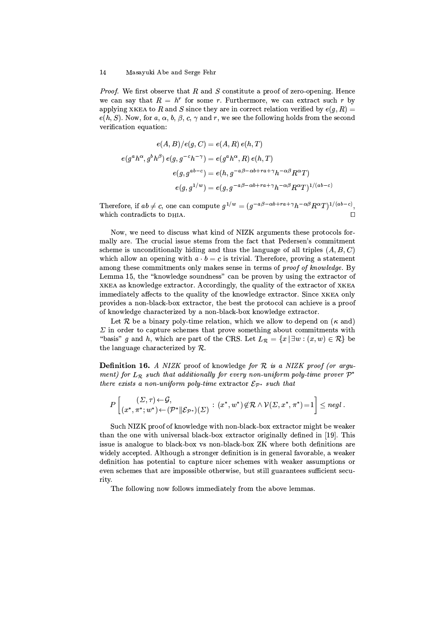*Proof.* We first observe that  $R$  and  $S$  constitute a proof of zero-opening. Hence we can say that  $R = h^r$  for some r. Furthermore, we can extract such r by applying XKEA to R and S since they are in correct relation verified by  $e(g, R)$  =  $e(h, S)$ . Now, for a,  $\alpha$ , b,  $\beta$ , c,  $\gamma$  and r, we see the following holds from the second verification equation:

$$
e(A, B)/e(g, C) = e(A, R) e(h, T)
$$
  
\n
$$
e(g^{a}h^{\alpha}, g^{b}h^{\beta}) e(g, g^{-c}h^{-\gamma}) = e(g^{a}h^{\alpha}, R) e(h, T)
$$
  
\n
$$
e(g, g^{ab-c}) = e(h, g^{-a\beta-\alpha b+ra+\gamma}h^{-\alpha\beta}R^{\alpha}T)
$$
  
\n
$$
e(g, g^{1/w}) = e(g, g^{-a\beta-\alpha b+ra+\gamma}h^{-\alpha\beta}R^{\alpha}T)^{1/(ab-c)}
$$

Therefore, if  $ab \neq c$ , one can compute  $g^{1/w} = (g^{-a\beta - \alpha b + r a + \gamma} h^{-\alpha \beta} R^{\alpha} T)^{1/(ab-c)}$ , which contradicts to DHIA.  $\Box$ 

Now, we need to discuss what kind of NIZK arguments these protocols formally are. The crucial issue stems from the fact that Pedersen's commitment scheme is unconditionally hiding and thus the language of all triples  $(A, B, C)$ which allow an opening with  $a \cdot b = c$  is trivial. Therefore, proving a statement among these commitments only makes sense in terms of *proof of knowledge*. By Lemma 15, the "knowledge soundness" can be proven by using the extractor of XKEA as knowledge extractor. Accordingly, the quality of the extractor of XKEA immediately affects to the quality of the knowledge extractor. Since XKEA only provides a non-black-box extractor, the best the protocol can achieve is a proof of knowledge characterized by a non-black-box knowledge extractor.

Let R be a binary poly-time relation, which we allow to depend on  $(\kappa$  and)  $\Sigma$  in order to capture schemes that prove something about commitments with "basis" g and h, which are part of the CRS. Let  $L_{\mathcal{R}} = \{x \mid \exists w : (x, w) \in \mathcal{R}\}\$  be the language characterized by  $\mathcal{R}$ .

**Definition 16.** A NIZK proof of knowledge for  $\mathcal{R}$  is a NIZK proof (or argument) for  $L_{\mathcal{R}}$  such that additionally for every non-uniform poly-time prover  $\mathcal{P}^*$ there exists a non-uniform poly-time extractor  $\mathcal{E}_{\mathcal{P}^*}$  such that

$$
P\left[\frac{(\varSigma,\tau)\!\leftarrow\! \mathcal{G},}{(x^*,\pi^*;w^*)\!\leftarrow\! (\mathcal{P}^* \| \mathcal{E}_{\mathcal{P}^*})(\varSigma)}:\, (x^*,w^*)\!\not\in\! \mathcal{R} \wedge \mathcal{V}(\varSigma,x^*,\pi^*)\!=\!1\right]\leq negl\,.
$$

Such NIZK proof of knowledge with non-black-box extractor might be weaker than the one with universal black-box extractor originally defined in [19]. This issue is analogue to black-box vs non-black-box ZK where both definitions are widely accepted. Although a stronger definition is in general favorable, a weaker definition has potential to capture nicer schemes with weaker assumptions or even schemes that are impossible otherwise, but still guarantees sufficient security.

The following now follows immediately from the above lemmas.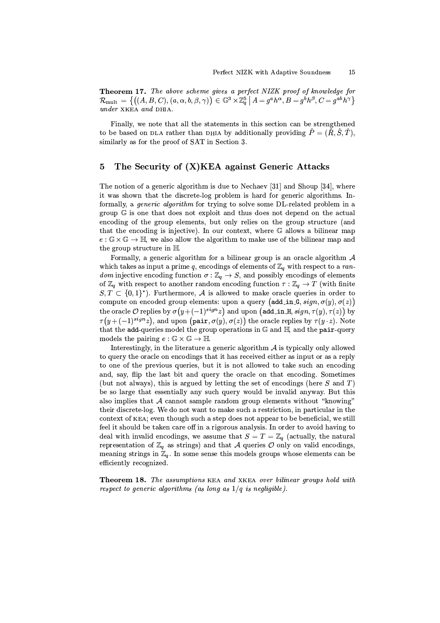Theorem 17. The above scheme gives a perfect NIZK proof of knowledge for  $\mathcal{R}_{\text{mult}} = \left\{ \left( (A, B, C), (a, \alpha, b, \beta, \gamma) \right) \in \mathbb{G}^3 \times \mathbb{Z}_a^5 \mid A = g^a h^\alpha, B = g^b h^\beta, C = g^{ab} h^\gamma \right\}$ under XKEA and DHIA.

Finally, we note that all the statements in this section can be strengthened to be based on DLA rather than DHIA by additionally providing  $\hat{P} = (\hat{R}, \hat{S}, \hat{T})$ , similarly as for the proof of SAT in Section 3.

## $\overline{5}$ The Security of (X)KEA against Generic Attacks

The notion of a generic algorithm is due to Nechaev [31] and Shoup [34], where it was shown that the discrete-log problem is hard for generic algorithms. Informally, a *generic algorithm* for trying to solve some DL-related problem in a group G is one that does not exploit and thus does not depend on the actual encoding of the group elements, but only relies on the group structure (and that the encoding is injective). In our context, where  $G$  allows a bilinear map  $e: \mathbb{G} \times \mathbb{G} \to \mathbb{H}$ , we also allow the algorithm to make use of the bilinear map and the group structure in H.

Formally, a generic algorithm for a bilinear group is an oracle algorithm  $A$ which takes as input a prime q, encodings of elements of  $\mathbb{Z}_q$  with respect to a random injective encoding function  $\sigma : \mathbb{Z}_q \to S$ , and possibly encodings of elements of  $\mathbb{Z}_q$  with respect to another random encoding function  $\tau : \mathbb{Z}_q \to T$  (with finite  $S, T \subset \{0,1\}^*$ ). Furthermore, A is allowed to make oracle queries in order to compute on encoded group elements: upon a query (add\_in\_G,  $sign, \sigma(y), \sigma(z)$ ) the oracle O replies by  $\sigma(y+(-1)^{sign}z)$  and upon (add\_in\_H, sign,  $\tau(y)$ ,  $\tau(z)$ ) by  $\tau(y+(-1)^{sign}z)$ , and upon (pair,  $\sigma(y), \sigma(z)$ ) the oracle replies by  $\tau(y \cdot z)$ . Note that the add-queries model the group operations in  $\mathbb{G}$  and  $\mathbb{H}$ , and the pair-query models the pairing  $e : \mathbb{G} \times \mathbb{G} \to \mathbb{H}$ .

Interestingly, in the literature a generic algorithm  $A$  is typically only allowed to query the oracle on encodings that it has received either as input or as a reply to one of the previous queries, but it is not allowed to take such an encoding and, say, flip the last bit and query the oracle on that encoding. Sometimes (but not always), this is argued by letting the set of encodings (here  $S$  and  $T$ ) be so large that essentially any such query would be invalid anyway. But this also implies that  $A$  cannot sample random group elements without "knowing" their discrete-log. We do not want to make such a restriction, in particular in the context of KEA; even though such a step does not appear to be beneficial, we still feel it should be taken care off in a rigorous analysis. In order to avoid having to deal with invalid encodings, we assume that  $S = T = \mathbb{Z}_q$  (actually, the natural representation of  $\mathbb{Z}_q$  as strings) and that A queries O only on valid encodings, meaning strings in  $\mathbb{Z}_q$ . In some sense this models groups whose elements can be efficiently recognized.

Theorem 18. The assumptions KEA and XKEA over bilinear groups hold with respect to generic algorithms (as long as  $1/q$  is negligible).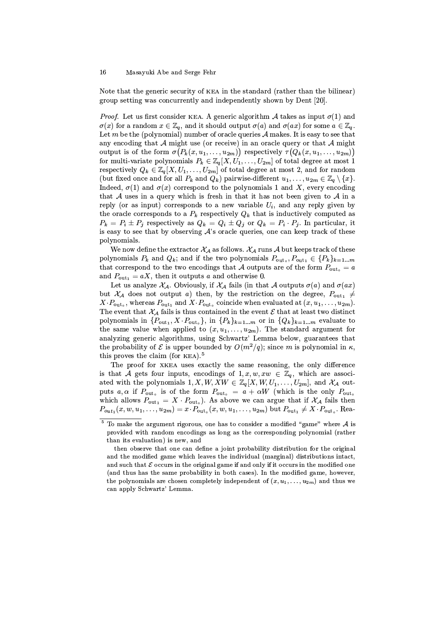Note that the generic security of KEA in the standard (rather than the bilinear) group setting was concurrently and independently shown by Dent [20].

*Proof.* Let us first consider KEA. A generic algorithm A takes as input  $\sigma(1)$  and  $\sigma(x)$  for a random  $x \in \mathbb{Z}_q$ , and it should output  $\sigma(a)$  and  $\sigma(ax)$  for some  $a \in \mathbb{Z}_q$ . Let m be the (polynomial) number of oracle queries  $A$  makes. It is easy to see that any encoding that  $A$  might use (or receive) in an oracle query or that  $A$  might output is of the form  $\sigma(P_k(x, u_1, \ldots, u_{2m}))$  respectively  $\tau(Q_k(x, u_1, \ldots, u_{2m}))$ for multi-variate polynomials  $P_k \in \mathbb{Z}_q[X, U_1, \ldots, U_{2m}]$  of total degree at most 1 respectively  $Q_k \in \mathbb{Z}_q[X, U_1, \ldots, U_{2m}]$  of total degree at most 2, and for random (but fixed once and for all  $P_k$  and  $Q_k$ ) pairwise-different  $u_1, \ldots, u_{2m} \in \mathbb{Z}_q \setminus \{x\}.$ Indeed,  $\sigma(1)$  and  $\sigma(x)$  correspond to the polynomials 1 and X, every encoding that A uses in a query which is fresh in that it has not been given to A in a reply (or as input) corresponds to a new variable  $U_i$ , and any reply given by the oracle corresponds to a  $P_k$  respectively  $Q_k$  that is inductively computed as  $P_k = P_i \pm P_j$  respectively as  $Q_k = Q_i \pm Q_j$  or  $Q_k = P_i \cdot P_j$ . In particular, it is easy to see that by observing  $A$ 's oracle queries, one can keep track of these polynomials.

We now define the extractor  $\mathcal{X}_{\mathcal{A}}$  as follows.  $\mathcal{X}_{\mathcal{A}}$  runs  $\mathcal{A}$  but keeps track of these polynomials  $P_k$  and  $Q_k$ ; and if the two polynomials  $P_{\text{out}_o}, P_{\text{out}_1} \in \{P_k\}_{k=1...m}$ that correspond to the two encodings that A outputs are of the form  $P_{\text{out}_0} = a$ and  $P_{\text{out}_1} = aX$ , then it outputs a and otherwise 0.

Let us analyze  $\mathcal{X}_{\mathcal{A}}$ . Obviously, if  $\mathcal{X}_{\mathcal{A}}$  fails (in that  $\mathcal A$  outputs  $\sigma(a)$  and  $\sigma(ax)$ but  $\mathcal{X}_{\mathcal{A}}$  does not output a) then, by the restriction on the degree,  $P_{\text{out}_1} \neq$  $X \cdot P_{\text{out}_o}$ , whereas  $P_{\text{out}_1}$  and  $X \cdot P_{\text{out}_o}$  coincide when evaluated at  $(x, u_1, \ldots, u_{2m})$ . The event that  $\mathcal{X}_{\mathcal{A}}$  fails is thus contained in the event  $\mathcal E$  that at least two distinct polynomials in  $\{P_{\text{out}_1}, X \cdot P_{\text{out}_2}\}\$ , in  $\{P_k\}_{k=1...m}$  or in  $\{Q_k\}_{k=1...m}$  evaluate to the same value when applied to  $(x, u_1, \ldots, u_{2m})$ . The standard argument for analyzing generic algorithms, using Schwartz' Lemma below, guarantees that the probability of  $\mathcal E$  is upper bounded by  $O(m^2/q)$ ; since m is polynomial in  $\kappa$ , this proves the claim (for  $KEA$ ).<sup>5</sup>

The proof for XKEA uses exactly the same reasoning, the only difference is that A gets four inputs, encodings of  $1, x, w, xw \in \mathbb{Z}_q$ , which are associated with the polynomials 1, X, W, XW  $\in \mathbb{Z}_q[X, W, U_1, \ldots, U_{2m}]$ , and  $\mathcal{X}_{\mathcal{A}}$  outputs  $a, \alpha$  if  $P_{\text{out}_o}$  is of the form  $P_{\text{out}_o} = a + \alpha W$  (which is the only  $P_{\text{out}_o}$ which allows  $P_{\text{out}_1} = X \cdot P_{\text{out}_0}$ ). As above we can argue that if  $\mathcal{X}_A$  fails then  $P_{out_1}(x, w, u_1, \ldots, u_{2m}) = x \cdot P_{out_0}(x, w, u_1, \ldots, u_{2m})$  but  $P_{out_1} \neq X \cdot P_{out_0}$ . Rea-

 $^5$  To make the argument rigorous, one has to consider a modified "game" where  ${\mathcal A}$  is provided with random encodings as long as the corresponding polynomial (rather than its evaluation) is new, and

then observe that one can define a joint probability distribution for the original and the modified game which leaves the individual (marginal) distributions intact, and such that  $\mathcal E$  occurs in the original game if and only if it occurs in the modified one (and thus has the same probability in both cases). In the modified game, however, the polynomials are chosen completely independent of  $(x, u_1, \ldots, u_{2m})$  and thus we can apply Schwartz' Lemma.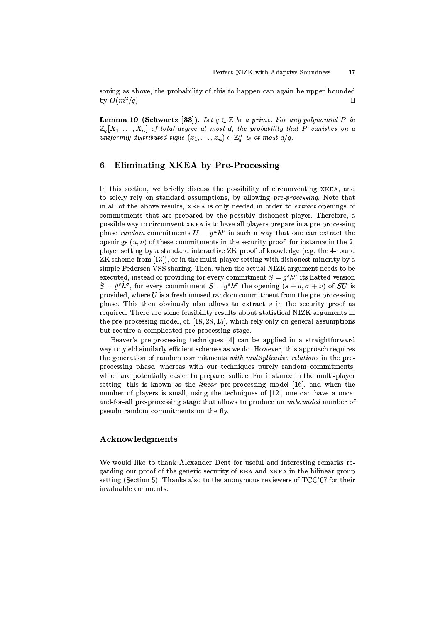soning as above, the probability of this to happen can again be upper bounded by  $O(m^2/q)$ .  $\Box$ 

**Lemma 19 (Schwartz [33]).** Let  $q \in \mathbb{Z}$  be a prime. For any polynomial P in  $\mathbb{Z}_a[X_1,\ldots,X_n]$  of total degree at most d, the probability that P vanishes on a uniformly distributed tuple  $(x_1, \ldots, x_n) \in \mathbb{Z}_q^n$  is at most  $d/q$ .

## Eliminating XKEA by Pre-Processing 6

In this section, we briefly discuss the possibility of circumventing XKEA, and to solely rely on standard assumptions, by allowing pre-processing. Note that in all of the above results, XKEA is only needed in order to extract openings of commitments that are prepared by the possibly dishonest player. Therefore, a possible way to circumvent XKEA is to have all players prepare in a pre-processing phase random commitments  $U = g^u h^v$  in such a way that one can extract the openings  $(u, v)$  of these commitments in the security proof: for instance in the 2player setting by a standard interactive ZK proof of knowledge (e.g. the 4-round ZK scheme from [13], or in the multi-player setting with dishonest minority by a simple Pedersen VSS sharing. Then, when the actual NIZK argument needs to be executed, instead of providing for every commitment  $S = g^s h^{\sigma}$  its hatted version  $\hat{S} = \hat{g}^s \hat{h}^\sigma$ , for every commitment  $S = g^s h^\sigma$  the opening  $(s + u, \sigma + \nu)$  of SU is provided, where  $U$  is a fresh unused random commitment from the pre-processing phase. This then obviously also allows to extract  $s$  in the security proof as required. There are some feasibility results about statistical NIZK arguments in the pre-processing model, cf. [18, 28, 15], which rely only on general assumptions but require a complicated pre-processing stage.

Beaver's pre-processing techniques [4] can be applied in a straightforward way to yield similarly efficient schemes as we do. However, this approach requires the generation of random commitments with multiplicative relations in the preprocessing phase, whereas with our techniques purely random commitments, which are potentially easier to prepare, suffice. For instance in the multi-player setting, this is known as the *linear* pre-processing model [16], and when the number of players is small, using the techniques of [12], one can have a onceand-for-all pre-processing stage that allows to produce an *unbounded* number of pseudo-random commitments on the fly.

# Acknowledgments

We would like to thank Alexander Dent for useful and interesting remarks regarding our proof of the generic security of KEA and XKEA in the bilinear group setting (Section 5). Thanks also to the anonymous reviewers of TCC'07 for their invaluable comments.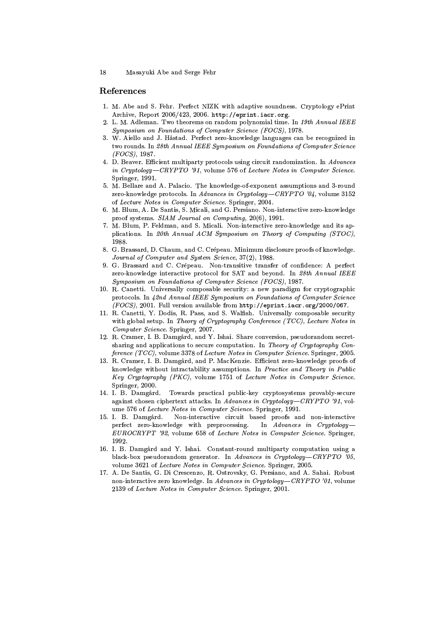## References

- 1. M. Abe and S. Fehr. Perfect NIZK with adaptive soundness. Cryptology ePrint Archive, Report 2006/423, 2006. http://eprint.iacr.org.
- 2. L. M. Adleman. Two theorems on random polynomial time. In 19th Annual IEEE Symposium on Foundations of Computer Science (FOCS), 1978.
- 3. W. Aiello and J. Håstad. Perfect zero-knowledge languages can be recognized in two rounds. In 28th Annual IEEE Symposium on Foundations of Computer Science  $(FOCS), 1987.$
- 4. D. Beaver. Efficient multiparty protocols using circuit randomization. In Advances in Cryptology-CRYPTO '91, volume 576 of Lecture Notes in Computer Science. Springer, 1991.
- 5. M. Bellare and A. Palacio. The knowledge-of-exponent assumptions and 3-round zero-knowledge protocols. In Advances in Cryptology—CRYPTO '04, volume 3152 of Lecture Notes in Computer Science. Springer, 2004.
- 6. M. Blum, A. De Santis, S. Micali, and G. Persiano. Non-interactive zero-knowledge proof systems. SIAM Journal on Computing, 20(6), 1991.
- 7. M. Blum, P. Feldman, and S. Micali. Non-interactive zero-knowledge and its applications. In 20th Annual ACM Symposium on Theory of Computing  $(STOC)$ , 1988
- 8. G. Brassard, D. Chaum, and C. Crépeau. Minimum disclosure proofs of knowledge. Journal of Computer and System Science, 37(2), 1988.
- 9. G. Brassard and C. Crépeau. Non-transitive transfer of confidence: A perfect zero-knowledge interactive protocol for SAT and beyond. In 28th Annual IEEE Symposium on Foundations of Computer Science (FOCS), 1987.
- 10. R. Canetti. Universally composable security: a new paradigm for cryptographic protocols. In 42nd Annual IEEE Symposium on Foundations of Computer Science (FOCS), 2001. Full version available from http://eprint.iacr.org/2000/067.
- 11. R. Canetti, Y. Dodis, R. Pass, and S. Walfish. Universally composable security with global setup. In Theory of Cryptography Conference  $(TCC)$ , Lecture Notes in Computer Science. Springer, 2007.
- 12. R. Cramer, I. B. Damgård, and Y. Ishai. Share conversion, pseudorandom secretsharing and applications to secure computation. In Theory of Cryptography Conference (TCC), volume 3378 of Lecture Notes in Computer Science. Springer, 2005.
- 13. R. Cramer, I. B. Damgård, and P. MacKenzie. Efficient zero-knowledge proofs of knowledge without intractability assumptions. In Practice and Theory in Public Key Cryptography (PKC), volume 1751 of Lecture Notes in Computer Science. Springer, 2000.
- 14. I. B. Damgård. Towards practical public-key cryptosystems provably-secure against chosen ciphertext attacks. In Advances in Cryptology-CRYPTO '91, volume 576 of *Lecture Notes in Computer Science*. Springer, 1991.
- 15. I. B. Damgård. Non-interactive circuit based proofs and non-interactive perfect zero-knowledge with preprocessing. In Advances in Cryptology-EUROCRYPT '92, volume 658 of Lecture Notes in Computer Science. Springer, 1992.
- 16. I. B. Damgård and Y. Ishai. Constant-round multiparty computation using a black-box pseudorandom generator. In Advances in Cryptology-CRYPTO '05, volume 3621 of Lecture Notes in Computer Science. Springer, 2005.
- 17. A. De Santis, G. Di Crescenzo, R. Ostrovsky, G. Persiano, and A. Sahai. Robust non-interactive zero knowledge. In Advances in Cryptology-CRYPTO '01, volume 2139 of Lecture Notes in Computer Science. Springer, 2001.